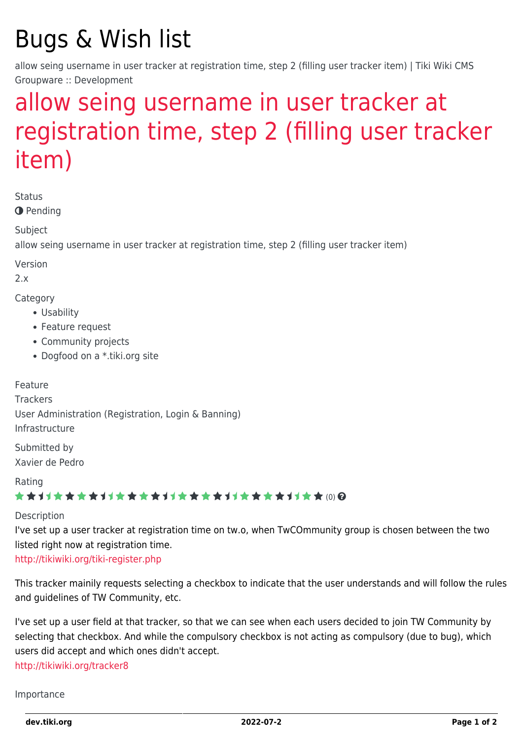# Bugs & Wish list

allow seing username in user tracker at registration time, step 2 (filling user tracker item) | Tiki Wiki CMS Groupware :: Development

## [allow seing username in user tracker at](https://dev.tiki.org/item1860-allow-seing-username-in-user-tracker-at-registration-time-step-2-filling-user-tracker-item) [registration time, step 2 \(filling user tracker](https://dev.tiki.org/item1860-allow-seing-username-in-user-tracker-at-registration-time-step-2-filling-user-tracker-item) [item\)](https://dev.tiki.org/item1860-allow-seing-username-in-user-tracker-at-registration-time-step-2-filling-user-tracker-item)

Status

**O** Pending

Subject

allow seing username in user tracker at registration time, step 2 (filling user tracker item)

Version

2.x

Category

- Usability
- Feature request
- Community projects
- Dogfood on a \*.tiki.org site

Feature **Trackers** User Administration (Registration, Login & Banning) Infrastructure

Submitted by Xavier de Pedro

Rating

★★オオ★★★★オオ★★★★オオ★★★★オオ★★★★1オ★★∞Q

#### Description

I've set up a user tracker at registration time on tw.o, when TwCOmmunity group is chosen between the two listed right now at registration time.

<http://tikiwiki.org/tiki-register.php>

This tracker mainily requests selecting a checkbox to indicate that the user understands and will follow the rules and guidelines of TW Community, etc.

I've set up a user field at that tracker, so that we can see when each users decided to join TW Community by selecting that checkbox. And while the compulsory checkbox is not acting as compulsory (due to bug), which users did accept and which ones didn't accept. <http://tikiwiki.org/tracker8>

Importance